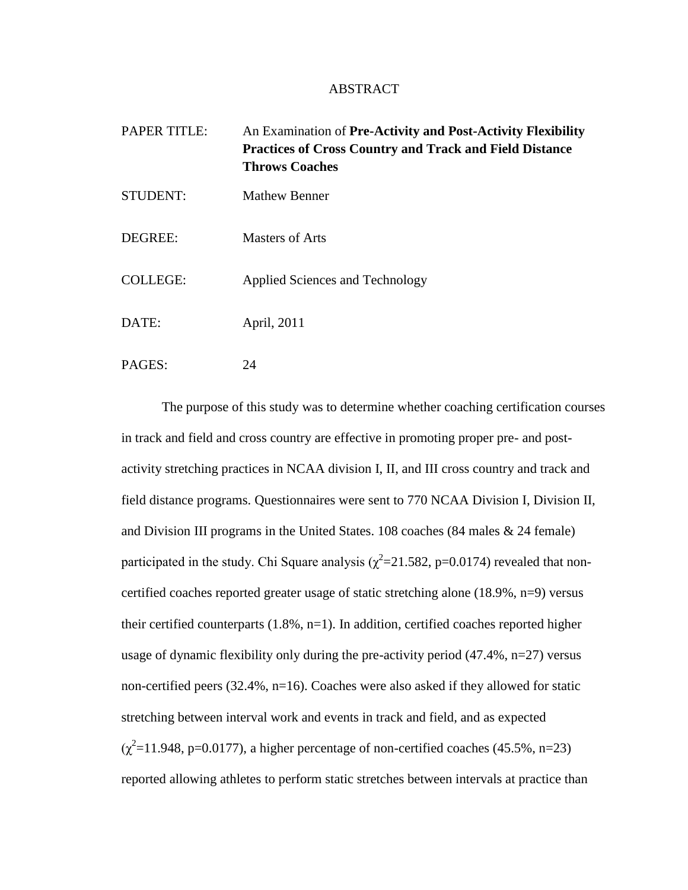## ABSTRACT

| <b>PAPER TITLE:</b> | An Examination of Pre-Activity and Post-Activity Flexibility<br><b>Practices of Cross Country and Track and Field Distance</b><br><b>Throws Coaches</b> |
|---------------------|---------------------------------------------------------------------------------------------------------------------------------------------------------|
| <b>STUDENT:</b>     | <b>Mathew Benner</b>                                                                                                                                    |
| DEGREE:             | <b>Masters of Arts</b>                                                                                                                                  |
| <b>COLLEGE:</b>     | Applied Sciences and Technology                                                                                                                         |
| DATE:               | April, 2011                                                                                                                                             |
| PAGES:              | 24                                                                                                                                                      |

The purpose of this study was to determine whether coaching certification courses in track and field and cross country are effective in promoting proper pre- and postactivity stretching practices in NCAA division I, II, and III cross country and track and field distance programs. Questionnaires were sent to 770 NCAA Division I, Division II, and Division III programs in the United States. 108 coaches (84 males & 24 female) participated in the study. Chi Square analysis ( $\chi^2$ =21.582, p=0.0174) revealed that noncertified coaches reported greater usage of static stretching alone (18.9%, n=9) versus their certified counterparts (1.8%, n=1). In addition, certified coaches reported higher usage of dynamic flexibility only during the pre-activity period  $(47.4\%, n=27)$  versus non-certified peers (32.4%, n=16). Coaches were also asked if they allowed for static stretching between interval work and events in track and field, and as expected  $(\chi^2=11.948, p=0.0177)$ , a higher percentage of non-certified coaches (45.5%, n=23) reported allowing athletes to perform static stretches between intervals at practice than